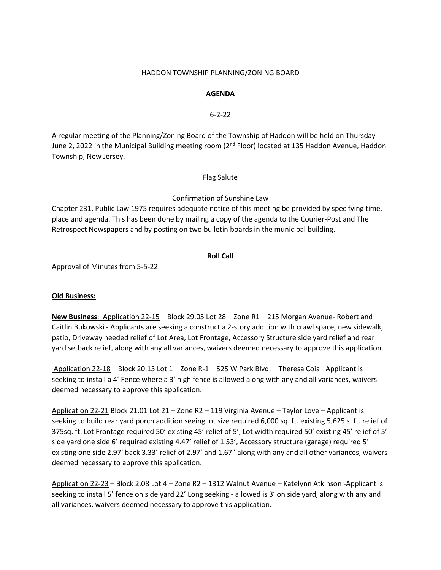### HADDON TOWNSHIP PLANNING/ZONING BOARD

## **AGENDA**

## 6-2-22

A regular meeting of the Planning/Zoning Board of the Township of Haddon will be held on Thursday June 2, 2022 in the Municipal Building meeting room (2<sup>nd</sup> Floor) located at 135 Haddon Avenue, Haddon Township, New Jersey.

Flag Salute

# Confirmation of Sunshine Law

Chapter 231, Public Law 1975 requires adequate notice of this meeting be provided by specifying time, place and agenda. This has been done by mailing a copy of the agenda to the Courier-Post and The Retrospect Newspapers and by posting on two bulletin boards in the municipal building.

## **Roll Call**

Approval of Minutes from 5-5-22

## **Old Business:**

**New Business**: Application 22-15 – Block 29.05 Lot 28 – Zone R1 – 215 Morgan Avenue- Robert and Caitlin Bukowski - Applicants are seeking a construct a 2-story addition with crawl space, new sidewalk, patio, Driveway needed relief of Lot Area, Lot Frontage, Accessory Structure side yard relief and rear yard setback relief, along with any all variances, waivers deemed necessary to approve this application.

Application 22-18 – Block 20.13 Lot 1 – Zone R-1 – 525 W Park Blvd. – Theresa Coia– Applicant is seeking to install a 4' Fence where a 3' high fence is allowed along with any and all variances, waivers deemed necessary to approve this application.

Application 22-21 Block 21.01 Lot 21 – Zone R2 – 119 Virginia Avenue – Taylor Love – Applicant is seeking to build rear yard porch addition seeing lot size required 6,000 sq. ft. existing 5,625 s. ft. relief of 375sq. ft. Lot Frontage required 50' existing 45' relief of 5', Lot width required 50' existing 45' relief of 5' side yard one side 6' required existing 4.47' relief of 1.53', Accessory structure (garage) required 5' existing one side 2.97' back 3.33' relief of 2.97' and 1.67" along with any and all other variances, waivers deemed necessary to approve this application.

Application 22-23 – Block 2.08 Lot 4 – Zone R2 – 1312 Walnut Avenue – Katelynn Atkinson -Applicant is seeking to install 5' fence on side yard 22' Long seeking - allowed is 3' on side yard, along with any and all variances, waivers deemed necessary to approve this application.